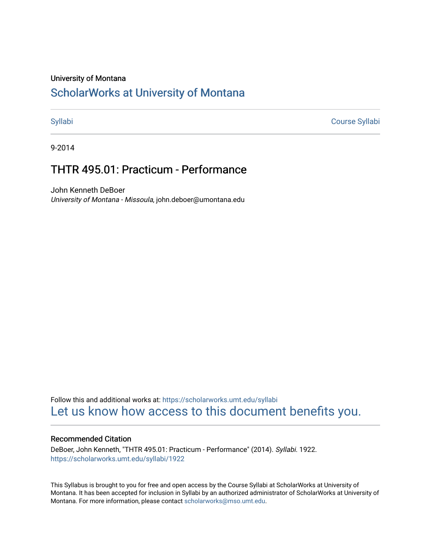#### University of Montana

# [ScholarWorks at University of Montana](https://scholarworks.umt.edu/)

[Syllabi](https://scholarworks.umt.edu/syllabi) [Course Syllabi](https://scholarworks.umt.edu/course_syllabi) 

9-2014

# THTR 495.01: Practicum - Performance

John Kenneth DeBoer University of Montana - Missoula, john.deboer@umontana.edu

Follow this and additional works at: [https://scholarworks.umt.edu/syllabi](https://scholarworks.umt.edu/syllabi?utm_source=scholarworks.umt.edu%2Fsyllabi%2F1922&utm_medium=PDF&utm_campaign=PDFCoverPages)  [Let us know how access to this document benefits you.](https://goo.gl/forms/s2rGfXOLzz71qgsB2) 

#### Recommended Citation

DeBoer, John Kenneth, "THTR 495.01: Practicum - Performance" (2014). Syllabi. 1922. [https://scholarworks.umt.edu/syllabi/1922](https://scholarworks.umt.edu/syllabi/1922?utm_source=scholarworks.umt.edu%2Fsyllabi%2F1922&utm_medium=PDF&utm_campaign=PDFCoverPages)

This Syllabus is brought to you for free and open access by the Course Syllabi at ScholarWorks at University of Montana. It has been accepted for inclusion in Syllabi by an authorized administrator of ScholarWorks at University of Montana. For more information, please contact [scholarworks@mso.umt.edu.](mailto:scholarworks@mso.umt.edu)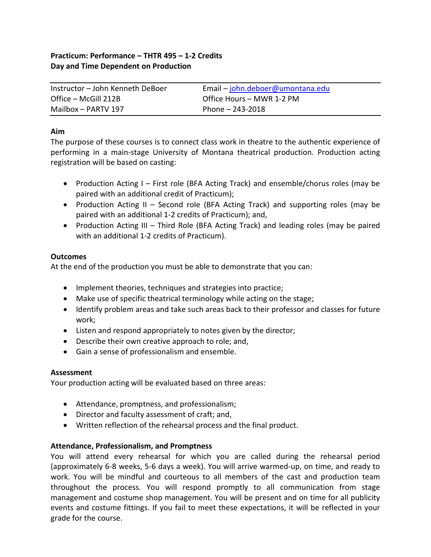# **Practicum: Performance – THTR 495 – 1-2 Credits Day and Time Dependent on Production**

| Instructor – John Kenneth DeBoer | Email – john.deboer@umontana.edu |
|----------------------------------|----------------------------------|
| Office – McGill 212B             | Office Hours – MWR 1-2 PM        |
| Mailbox - PARTV 197              | Phone $- 243 - 2018$             |

### **Aim**

The purpose of these courses is to connect class work in theatre to the authentic experience of performing in a main-stage University of Montana theatrical production. Production acting registration will be based on casting:

- Production Acting I First role (BFA Acting Track) and ensemble/chorus roles (may be paired with an additional credit of Practicum);
- Production Acting II Second role (BFA Acting Track) and supporting roles (may be paired with an additional 1-2 credits of Practicum); and,
- Production Acting III Third Role (BFA Acting Track) and leading roles (may be paired with an additional 1-2 credits of Practicum).

# **Outcomes**

At the end of the production you must be able to demonstrate that you can:

- Implement theories, techniques and strategies into practice;
- Make use of specific theatrical terminology while acting on the stage;
- Identify problem areas and take such areas back to their professor and classes for future work;
- Listen and respond appropriately to notes given by the director;
- Describe their own creative approach to role; and,
- Gain a sense of professionalism and ensemble.

# **Assessment**

Your production acting will be evaluated based on three areas:

- Attendance, promptness, and professionalism;
- Director and faculty assessment of craft; and,
- Written reflection of the rehearsal process and the final product.

# **Attendance, Professionalism, and Promptness**

You will attend every rehearsal for which you are called during the rehearsal period (approximately 6-8 weeks, 5-6 days a week). You will arrive warmed-up, on time, and ready to work. You will be mindful and courteous to all members of the cast and production team throughout the process. You will respond promptly to all communication from stage management and costume shop management. You will be present and on time for all publicity events and costume fittings. If you fail to meet these expectations, it will be reflected in your grade for the course.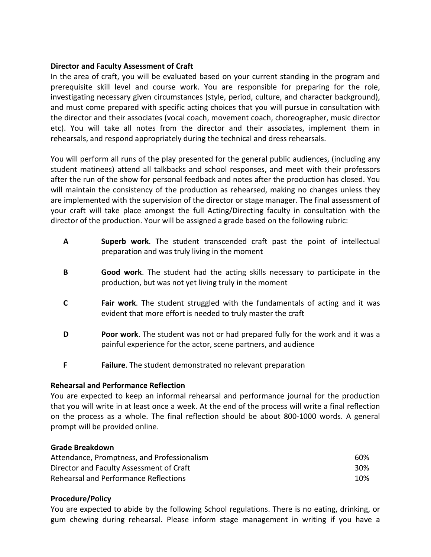#### **Director and Faculty Assessment of Craft**

In the area of craft, you will be evaluated based on your current standing in the program and prerequisite skill level and course work. You are responsible for preparing for the role, investigating necessary given circumstances (style, period, culture, and character background), and must come prepared with specific acting choices that you will pursue in consultation with the director and their associates (vocal coach, movement coach, choreographer, music director etc). You will take all notes from the director and their associates, implement them in rehearsals, and respond appropriately during the technical and dress rehearsals.

You will perform all runs of the play presented for the general public audiences, (including any student matinees) attend all talkbacks and school responses, and meet with their professors after the run of the show for personal feedback and notes after the production has closed. You will maintain the consistency of the production as rehearsed, making no changes unless they are implemented with the supervision of the director or stage manager. The final assessment of your craft will take place amongst the full Acting/Directing faculty in consultation with the director of the production. Your will be assigned a grade based on the following rubric:

- **A Superb work**. The student transcended craft past the point of intellectual preparation and was truly living in the moment
- **B Good work**. The student had the acting skills necessary to participate in the production, but was not yet living truly in the moment
- **C Fair work**. The student struggled with the fundamentals of acting and it was evident that more effort is needed to truly master the craft
- **D Poor work**. The student was not or had prepared fully for the work and it was a painful experience for the actor, scene partners, and audience
- **F Failure**. The student demonstrated no relevant preparation

# **Rehearsal and Performance Reflection**

You are expected to keep an informal rehearsal and performance journal for the production that you will write in at least once a week. At the end of the process will write a final reflection on the process as a whole. The final reflection should be about 800-1000 words. A general prompt will be provided online.

#### **Grade Breakdown**

| Attendance, Promptness, and Professionalism | 60% |
|---------------------------------------------|-----|
| Director and Faculty Assessment of Craft    | 30% |
| Rehearsal and Performance Reflections       | 10% |

#### **Procedure/Policy**

You are expected to abide by the following School regulations. There is no eating, drinking, or gum chewing during rehearsal. Please inform stage management in writing if you have a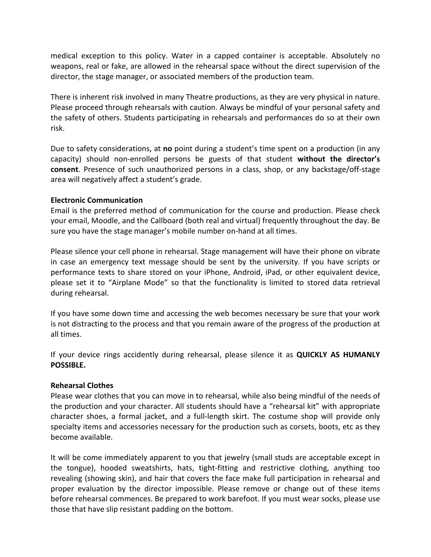medical exception to this policy. Water in a capped container is acceptable. Absolutely no weapons, real or fake, are allowed in the rehearsal space without the direct supervision of the director, the stage manager, or associated members of the production team.

There is inherent risk involved in many Theatre productions, as they are very physical in nature. Please proceed through rehearsals with caution. Always be mindful of your personal safety and the safety of others. Students participating in rehearsals and performances do so at their own risk.

Due to safety considerations, at **no** point during a student's time spent on a production (in any capacity) should non-enrolled persons be guests of that student **without the director's consent**. Presence of such unauthorized persons in a class, shop, or any backstage/off-stage area will negatively affect a student's grade.

#### **Electronic Communication**

Email is the preferred method of communication for the course and production. Please check your email, Moodle, and the Callboard (both real and virtual) frequently throughout the day. Be sure you have the stage manager's mobile number on-hand at all times.

Please silence your cell phone in rehearsal. Stage management will have their phone on vibrate in case an emergency text message should be sent by the university. If you have scripts or performance texts to share stored on your iPhone, Android, iPad, or other equivalent device, please set it to "Airplane Mode" so that the functionality is limited to stored data retrieval during rehearsal.

If you have some down time and accessing the web becomes necessary be sure that your work is not distracting to the process and that you remain aware of the progress of the production at all times.

If your device rings accidently during rehearsal, please silence it as **QUICKLY AS HUMANLY POSSIBLE.**

# **Rehearsal Clothes**

Please wear clothes that you can move in to rehearsal, while also being mindful of the needs of the production and your character. All students should have a "rehearsal kit" with appropriate character shoes, a formal jacket, and a full-length skirt. The costume shop will provide only specialty items and accessories necessary for the production such as corsets, boots, etc as they become available.

It will be come immediately apparent to you that jewelry (small studs are acceptable except in the tongue), hooded sweatshirts, hats, tight-fitting and restrictive clothing, anything too revealing (showing skin), and hair that covers the face make full participation in rehearsal and proper evaluation by the director impossible. Please remove or change out of these items before rehearsal commences. Be prepared to work barefoot. If you must wear socks, please use those that have slip resistant padding on the bottom.